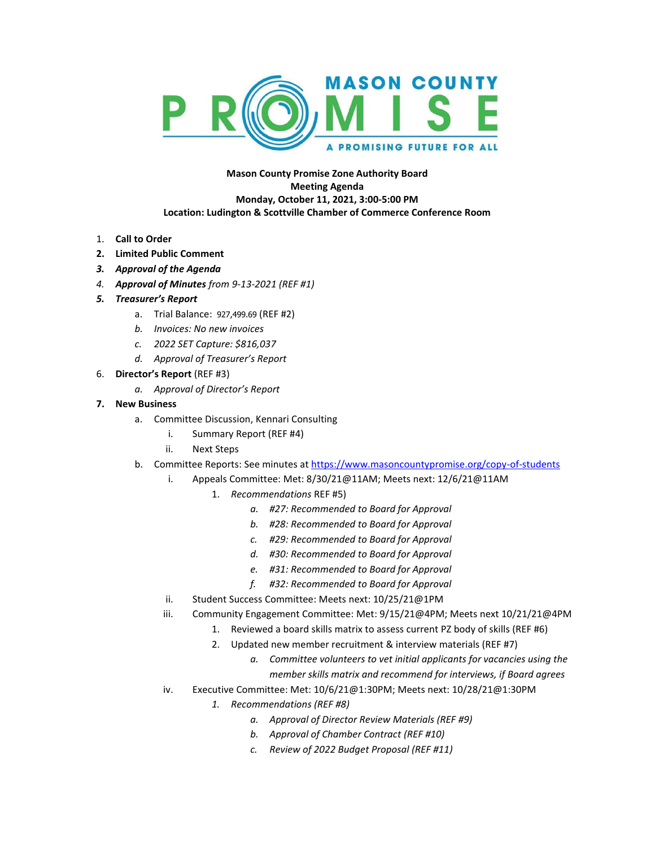

**Mason County Promise Zone Authority Board Meeting Agenda Monday, October 11, 2021, 3:00-5:00 PM Location: Ludington & Scottville Chamber of Commerce Conference Room**

- 1. **Call to Order**
- **2. Limited Public Comment**
- *3. Approval of the Agenda*
- *4. Approval of Minutes from 9-13-2021 (REF #1)*
- *5. Treasurer's Report*
	- a. Trial Balance: 927,499.69 (REF #2)
		- *b. Invoices: No new invoices*
		- *c. 2022 SET Capture: \$816,037*
		- *d. Approval of Treasurer's Report*
- 6. **Director's Report** (REF #3)
	- *a. Approval of Director's Report*
- **7. New Business**
	- a. Committee Discussion, Kennari Consulting
		- i. Summary Report (REF #4)
		- ii. Next Steps
	- b. Committee Reports: See minutes at <https://www.masoncountypromise.org/copy-of-students>
		- i. Appeals Committee: Met: 8/30/21@11AM; Meets next: 12/6/21@11AM
			- 1. *Recommendations* REF #5)
				- *a. #27: Recommended to Board for Approval*
				- *b. #28: Recommended to Board for Approval*
				- *c. #29: Recommended to Board for Approval*
				- *d. #30: Recommended to Board for Approval*
				- *e. #31: Recommended to Board for Approval*
				- *f. #32: Recommended to Board for Approval*
		- ii. Student Success Committee: Meets next: 10/25/21@1PM
		- iii. Community Engagement Committee: Met: 9/15/21@4PM; Meets next 10/21/21@4PM
			- 1. Reviewed a board skills matrix to assess current PZ body of skills (REF #6)
			- 2. Updated new member recruitment & interview materials (REF #7)
				- *a. Committee volunteers to vet initial applicants for vacancies using the member skills matrix and recommend for interviews, if Board agrees*
		- iv. Executive Committee: Met: 10/6/21@1:30PM; Meets next: 10/28/21@1:30PM
			- *1. Recommendations (REF #8)*
				- *a. Approval of Director Review Materials (REF #9)*
				- *b. Approval of Chamber Contract (REF #10)*
				- *c. Review of 2022 Budget Proposal (REF #11)*